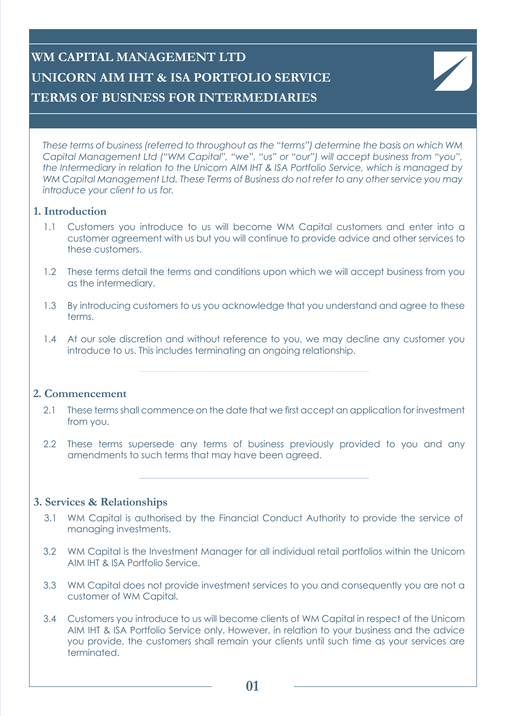# **WM CAPITAL MANAGEMENT LTD UNICORN AIM IHT & ISA PORTFOLIO SERVICE TERMS OF BUSINESS FOR INTERMEDIARIES**

*These terms of business (referred to throughout as the "terms") determine the basis on which WM Capital Management Ltd ("WM Capital", "we", "us" or "our") will accept business from "you", the Intermediary in relation to the Unicorn AIM IHT & ISA Portfolio Service, which is managed by WM Capital Management Ltd. These Terms of Business do not refer to any other service you may introduce your client to us for.*

# **1. Introduction**

- 1.1 Customers you introduce to us will become WM Capital customers and enter into a customer agreement with us but you will continue to provide advice and other services to these customers.
- 1.2 These terms detail the terms and conditions upon which we will accept business from you as the intermediary.
- 1.3 By introducing customers to us you acknowledge that you understand and agree to these terms.
- 1.4 At our sole discretion and without reference to you, we may decline any customer you introduce to us. This includes terminating an ongoing relationship.

#### **2. Commencement**

- 2.1 These terms shall commence on the date that we first accept an application for investment from you.
- 2.2 These terms supersede any terms of business previously provided to you and any amendments to such terms that may have been agreed.

# **3. Services & Relationships**

- 3.1 WM Capital is authorised by the Financial Conduct Authority to provide the service of managing investments.
- 3.2 WM Capital is the Investment Manager for all individual retail portfolios within the Unicorn AIM IHT & ISA Portfolio Service.
- 3.3 WM Capital does not provide investment services to you and consequently you are not a customer of WM Capital.
- 3.4 Customers you introduce to us will become clients of WM Capital in respect of the Unicorn AIM IHT & ISA Portfolio Service only. However, in relation to your business and the advice you provide, the customers shall remain your clients until such time as your services are terminated.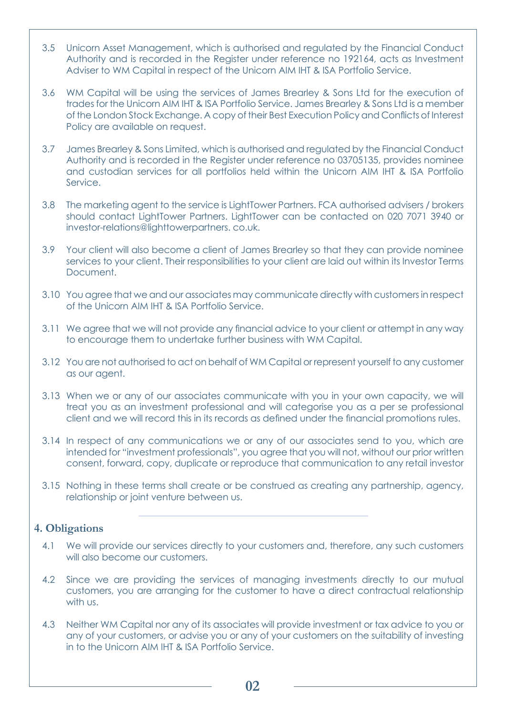- 3.5 Unicorn Asset Management, which is authorised and regulated by the Financial Conduct Authority and is recorded in the Register under reference no 192164, acts as Investment Adviser to WM Capital in respect of the Unicorn AIM IHT & ISA Portfolio Service.
- 3.6 WM Capital will be using the services of James Brearley & Sons Ltd for the execution of trades for the Unicorn AIM IHT & ISA Portfolio Service. James Brearley & Sons Ltd is a member of the London Stock Exchange. A copy of their Best Execution Policy and Conflicts of Interest Policy are available on request.
- 3.7 James Brearley & Sons Limited, which is authorised and regulated by the Financial Conduct Authority and is recorded in the Register under reference no 03705135, provides nominee and custodian services for all portfolios held within the Unicorn AIM IHT & ISA Portfolio Service.
- 3.8 The marketing agent to the service is LightTower Partners. FCA authorised advisers / brokers should contact LightTower Partners. LightTower can be contacted on 020 7071 3940 or investor-relations@lighttowerpartners. co.uk.
- 3.9 Your client will also become a client of James Brearley so that they can provide nominee services to your client. Their responsibilities to your client are laid out within its Investor Terms Document.
- 3.10 You agree that we and our associates may communicate directly with customers in respect of the Unicorn AIM IHT & ISA Portfolio Service.
- 3.11 We agree that we will not provide any financial advice to your client or attempt in any way to encourage them to undertake further business with WM Capital.
- 3.12 You are not authorised to act on behalf of WM Capital or represent yourself to any customer as our agent.
- 3.13 When we or any of our associates communicate with you in your own capacity, we will treat you as an investment professional and will categorise you as a per se professional client and we will record this in its records as defined under the financial promotions rules.
- 3.14 In respect of any communications we or any of our associates send to you, which are intended for "investment professionals", you agree that you will not, without our prior written consent, forward, copy, duplicate or reproduce that communication to any retail investor
- 3.15 Nothing in these terms shall create or be construed as creating any partnership, agency, relationship or joint venture between us.

# **4. Obligations**

- 4.1 We will provide our services directly to your customers and, therefore, any such customers will also become our customers.
- 4.2 Since we are providing the services of managing investments directly to our mutual customers, you are arranging for the customer to have a direct contractual relationship with us.
- 4.3 Neither WM Capital nor any of its associates will provide investment or tax advice to you or any of your customers, or advise you or any of your customers on the suitability of investing in to the Unicorn AIM IHT & ISA Portfolio Service.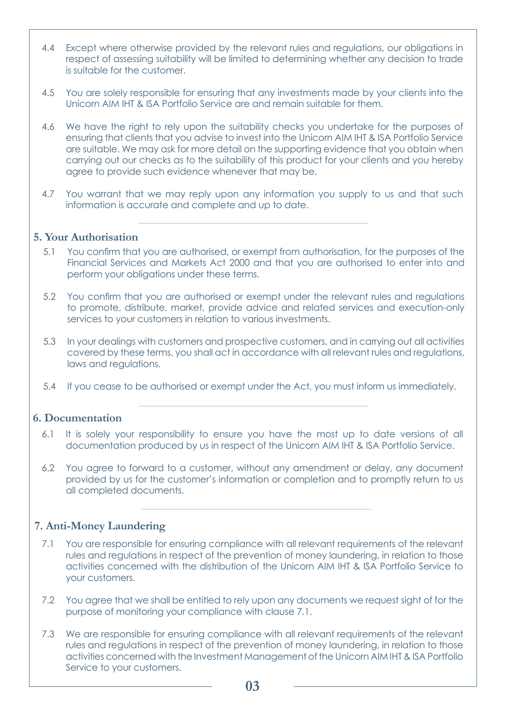- 4.4 Except where otherwise provided by the relevant rules and regulations, our obligations in respect of assessing suitability will be limited to determining whether any decision to trade is suitable for the customer.
- 4.5 You are solely responsible for ensuring that any investments made by your clients into the Unicorn AIM IHT & ISA Portfolio Service are and remain suitable for them.
- 4.6 We have the right to rely upon the suitability checks you undertake for the purposes of ensuring that clients that you advise to invest into the Unicorn AIM IHT & ISA Portfolio Service are suitable. We may ask for more detail on the supporting evidence that you obtain when carrying out our checks as to the suitability of this product for your clients and you hereby agree to provide such evidence whenever that may be.
- 4.7 You warrant that we may reply upon any information you supply to us and that such information is accurate and complete and up to date.

#### **5. Your Authorisation**

- 5.1 You confirm that you are authorised, or exempt from authorisation, for the purposes of the Financial Services and Markets Act 2000 and that you are authorised to enter into and perform your obligations under these terms.
- 5.2 You confirm that you are authorised or exempt under the relevant rules and regulations to promote, distribute, market, provide advice and related services and execution-only services to your customers in relation to various investments.
- 5.3 In your dealings with customers and prospective customers, and in carrying out all activities covered by these terms, you shall act in accordance with all relevant rules and regulations, laws and regulations.
- 5.4 If you cease to be authorised or exempt under the Act, you must inform us immediately.

## **6. Documentation**

- 6.1 It is solely your responsibility to ensure you have the most up to date versions of all documentation produced by us in respect of the Unicorn AIM IHT & ISA Portfolio Service.
- 6.2 You agree to forward to a customer, without any amendment or delay, any document provided by us for the customer's information or completion and to promptly return to us all completed documents.

# **7. Anti-Money Laundering**

- 7.1 You are responsible for ensuring compliance with all relevant requirements of the relevant rules and regulations in respect of the prevention of money laundering, in relation to those activities concerned with the distribution of the Unicorn AIM IHT & ISA Portfolio Service to your customers.
- 7.2 You agree that we shall be entitled to rely upon any documents we request sight of for the purpose of monitoring your compliance with clause 7.1.
- 7.3 We are responsible for ensuring compliance with all relevant requirements of the relevant rules and regulations in respect of the prevention of money laundering, in relation to those activities concerned with the Investment Management of the Unicorn AIM IHT & ISA Portfolio Service to your customers.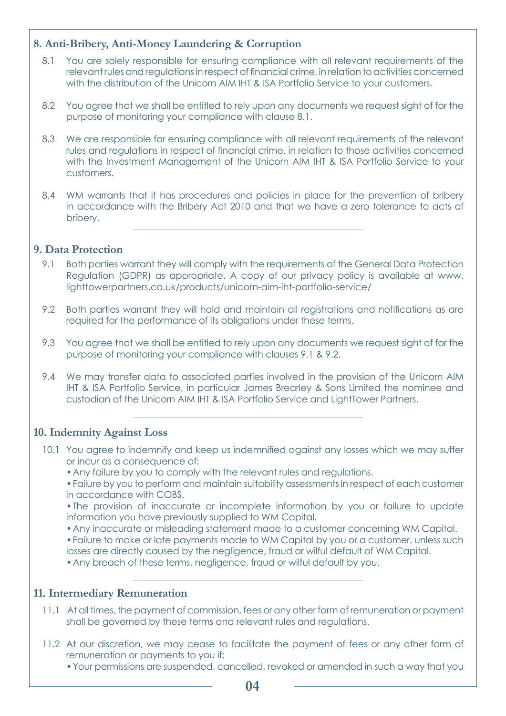# **8. Anti-Bribery, Anti-Money Laundering & Corruption**

- 8.1 You are solely responsible for ensuring compliance with all relevant requirements of the relevant rules and regulations in respect of financial crime, in relation to activities concerned with the distribution of the Unicorn AIM IHT & ISA Portfolio Service to your customers.
- 8.2 You agree that we shall be entitled to rely upon any documents we request sight of for the purpose of monitoring your compliance with clause 8.1.
- 8.3 We are responsible for ensuring compliance with all relevant requirements of the relevant rules and regulations in respect of financial crime, in relation to those activities concerned with the Investment Management of the Unicorn AIM IHT & ISA Portfolio Service to your customers.
- 8.4 WM warrants that it has procedures and policies in place for the prevention of bribery in accordance with the Bribery Act 2010 and that we have a zero tolerance to acts of bribery.

## **9. Data Protection**

- 9.1 Both parties warrant they will comply with the requirements of the General Data Protection Regulation (GDPR) as appropriate. A copy of our privacy policy is available at www. lighttowerpartners.co.uk/products/unicorn-aim-iht-portfolio-service/
- 9.2 Both parties warrant they will hold and maintain all registrations and notifications as are required for the performance of its obligations under these terms.
- 9.3 You agree that we shall be entitled to rely upon any documents we request sight of for the purpose of monitoring your compliance with clauses 9.1 & 9.2.
- 9.4 We may transfer data to associated parties involved in the provision of the Unicorn AIM IHT & ISA Portfolio Service, in particular James Brearley & Sons Limited the nominee and custodian of the Unicorn AIM IHT & ISA Portfolio Service and LightTower Partners.

# **10. Indemnity Against Loss**

- 10.1 You agree to indemnify and keep us indemnified against any losses which we may suffer or incur as a consequence of:
	- •Any failure by you to comply with the relevant rules and regulations.

•Failure by you to perform and maintain suitability assessments in respect of each customer in accordance with COBS.

•The provision of inaccurate or incomplete information by you or failure to update information you have previously supplied to WM Capital.

•Any inaccurate or misleading statement made to a customer concerning WM Capital.

•Failure to make or late payments made to WM Capital by you or a customer, unless such losses are directly caused by the negligence, fraud or wilful default of WM Capital.

•Any breach of these terms, negligence, fraud or wilful default by you.

#### **11. Intermediary Remuneration**

- 11.1 At all times, the payment of commission, fees or any other form of remuneration or payment shall be governed by these terms and relevant rules and regulations.
- 11.2 At our discretion, we may cease to facilitate the payment of fees or any other form of remuneration or payments to you if:

•Your permissions are suspended, cancelled, revoked or amended in such a way that you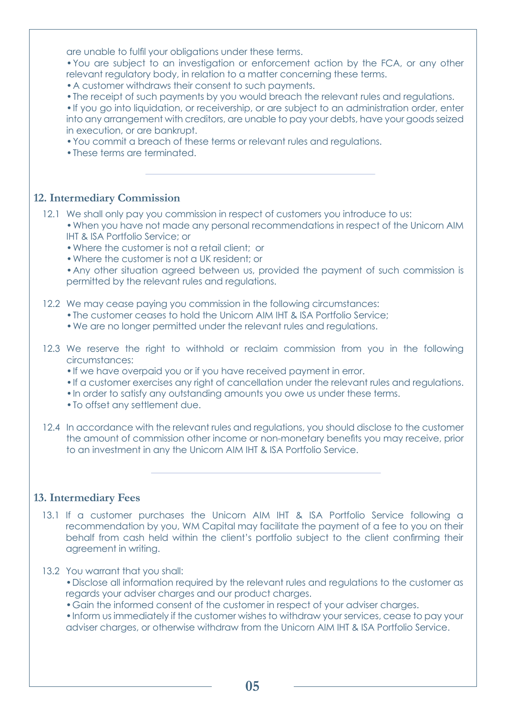are unable to fulfil your obligations under these terms.

•You are subject to an investigation or enforcement action by the FCA, or any other relevant regulatory body, in relation to a matter concerning these terms.

•A customer withdraws their consent to such payments.

•The receipt of such payments by you would breach the relevant rules and regulations.

•If you go into liquidation, or receivership, or are subject to an administration order, enter into any arrangement with creditors, are unable to pay your debts, have your goods seized in execution, or are bankrupt.

•You commit a breach of these terms or relevant rules and regulations.

•These terms are terminated.

#### **12. Intermediary Commission**

- 12.1 We shall only pay you commission in respect of customers you introduce to us:
	- •When you have not made any personal recommendations in respect of the Unicorn AIM IHT & ISA Portfolio Service; or
		- •Where the customer is not a retail client; or
		- •Where the customer is not a UK resident; or

•Any other situation agreed between us, provided the payment of such commission is permitted by the relevant rules and regulations.

#### 12.2 We may cease paying you commission in the following circumstances:

- •The customer ceases to hold the Unicorn AIM IHT & ISA Portfolio Service;
- •We are no longer permitted under the relevant rules and regulations.
- 12.3 We reserve the right to withhold or reclaim commission from you in the following circumstances:
	- •If we have overpaid you or if you have received payment in error.
	- •If a customer exercises any right of cancellation under the relevant rules and regulations.
	- In order to satisfy any outstanding amounts you owe us under these terms.
	- •To offset any settlement due.
- 12.4 In accordance with the relevant rules and regulations, you should disclose to the customer the amount of commission other income or non-monetary benefits you may receive, prior to an investment in any the Unicorn AIM IHT & ISA Portfolio Service.

#### **13. Intermediary Fees**

- 13.1 If a customer purchases the Unicorn AIM IHT & ISA Portfolio Service following a recommendation by you, WM Capital may facilitate the payment of a fee to you on their behalf from cash held within the client's portfolio subject to the client confirming their agreement in writing.
- 13.2 You warrant that you shall:

•Disclose all information required by the relevant rules and regulations to the customer as regards your adviser charges and our product charges.

•Gain the informed consent of the customer in respect of your adviser charges.

•Inform us immediately if the customer wishes to withdraw your services, cease to pay your adviser charges, or otherwise withdraw from the Unicorn AIM IHT & ISA Portfolio Service.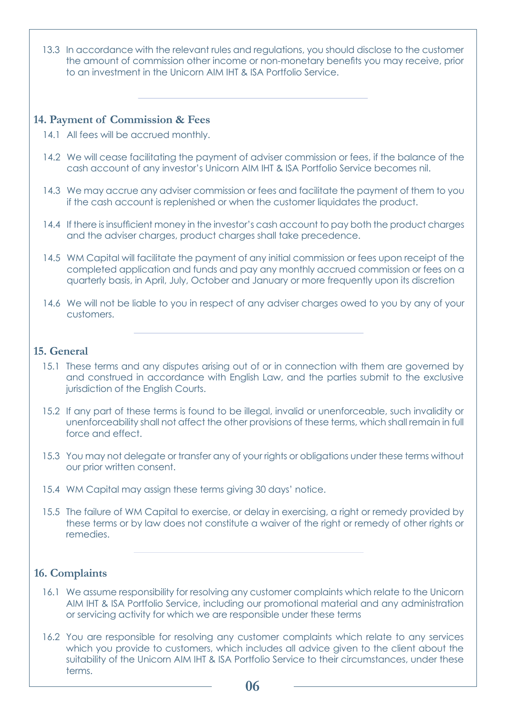13.3 In accordance with the relevant rules and regulations, you should disclose to the customer the amount of commission other income or non-monetary benefits you may receive, prior to an investment in the Unicorn AIM IHT & ISA Portfolio Service.

### **14. Payment of Commission & Fees**

- 14.1 All fees will be accrued monthly.
- 14.2 We will cease facilitating the payment of adviser commission or fees, if the balance of the cash account of any investor's Unicorn AIM IHT & ISA Portfolio Service becomes nil.
- 14.3 We may accrue any adviser commission or fees and facilitate the payment of them to you if the cash account is replenished or when the customer liquidates the product.
- 14.4 If there is insufficient money in the investor's cash account to pay both the product charges and the adviser charges, product charges shall take precedence.
- 14.5 WM Capital will facilitate the payment of any initial commission or fees upon receipt of the completed application and funds and pay any monthly accrued commission or fees on a quarterly basis, in April, July, October and January or more frequently upon its discretion
- 14.6 We will not be liable to you in respect of any adviser charges owed to you by any of your customers.

#### **15. General**

- 15.1 These terms and any disputes arising out of or in connection with them are governed by and construed in accordance with English Law, and the parties submit to the exclusive jurisdiction of the English Courts.
- 15.2 If any part of these terms is found to be illegal, invalid or unenforceable, such invalidity or unenforceability shall not affect the other provisions of these terms, which shall remain in full force and effect.
- 15.3 You may not delegate or transfer any of your rights or obligations under these terms without our prior written consent.
- 15.4 WM Capital may assign these terms giving 30 days' notice.
- 15.5 The failure of WM Capital to exercise, or delay in exercising, a right or remedy provided by these terms or by law does not constitute a waiver of the right or remedy of other rights or remedies.

#### **16. Complaints**

- 16.1 We assume responsibility for resolving any customer complaints which relate to the Unicorn AIM IHT & ISA Portfolio Service, including our promotional material and any administration or servicing activity for which we are responsible under these terms
- 16.2 You are responsible for resolving any customer complaints which relate to any services which you provide to customers, which includes all advice given to the client about the suitability of the Unicorn AIM IHT & ISA Portfolio Service to their circumstances, under these terms.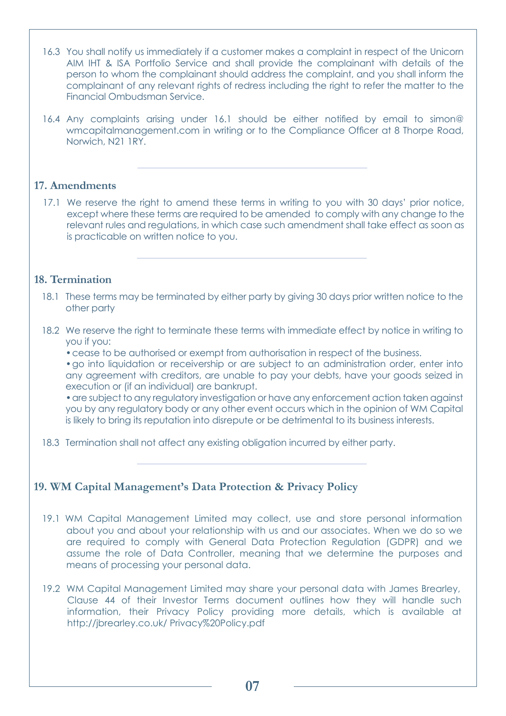- 16.3 You shall notify us immediately if a customer makes a complaint in respect of the Unicorn AIM IHT & ISA Portfolio Service and shall provide the complainant with details of the person to whom the complainant should address the complaint, and you shall inform the complainant of any relevant rights of redress including the right to refer the matter to the Financial Ombudsman Service.
- 16.4 Any complaints arising under 16.1 should be either notified by email to simon@ wmcapitalmanagement.com in writing or to the Compliance Officer at 8 Thorpe Road, Norwich, N21 1RY.

## **17. Amendments**

17.1 We reserve the right to amend these terms in writing to you with 30 days' prior notice, except where these terms are required to be amended to comply with any change to the relevant rules and regulations, in which case such amendment shall take effect as soon as is practicable on written notice to you.

## **18. Termination**

- 18.1 These terms may be terminated by either party by giving 30 days prior written notice to the other party
- 18.2 We reserve the right to terminate these terms with immediate effect by notice in writing to you if you:
	- •cease to be authorised or exempt from authorisation in respect of the business.

•go into liquidation or receivership or are subject to an administration order, enter into any agreement with creditors, are unable to pay your debts, have your goods seized in execution or (if an individual) are bankrupt.

•are subject to any regulatory investigation or have any enforcement action taken against you by any regulatory body or any other event occurs which in the opinion of WM Capital is likely to bring its reputation into disrepute or be detrimental to its business interests.

18.3 Termination shall not affect any existing obligation incurred by either party.

# **19. WM Capital Management's Data Protection & Privacy Policy**

- 19.1 WM Capital Management Limited may collect, use and store personal information about you and about your relationship with us and our associates. When we do so we are required to comply with General Data Protection Regulation (GDPR) and we assume the role of Data Controller, meaning that we determine the purposes and means of processing your personal data.
- 19.2 WM Capital Management Limited may share your personal data with James Brearley, Clause 44 of their Investor Terms document outlines how they will handle such information, their Privacy Policy providing more details, which is available at <http://jbrearley.co.uk/ Privacy%20Policy.pdf>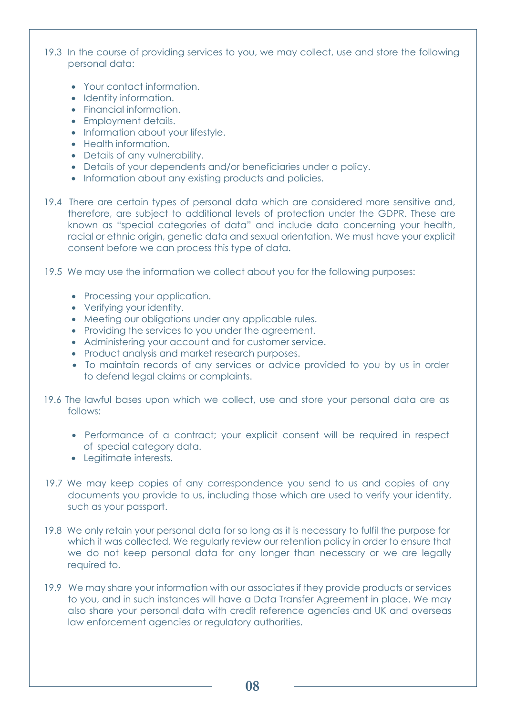- 19.3 In the course of providing services to you, we may collect, use and store the following personal personal data:
	- Your contact information.
	- Identity information.
	- Financial information.
	- Employment details.
	- Information about your lifestyle.
	- Health information.
	- Details of any vulnerability.
	- Details of your dependents and/or beneficiaries under a policy.
	- Information about any existing products and policies.
- 19.4 There are certain types of personal data which are considered more sensitive and, therefore, are subject to additional levels of protection under the GDPR. These are known as "special categories of data" and include data concerning your health, racial or ethnic origin, genetic data and sexual orientation. We must have your explicit consent before we can process this type of data.
- 19.5 We may use the information we collect about you for the following purposes:
	- Processing your application.
	- Verifying your identity.
	- Meeting our obligations under any applicable rules.
	- Providing the services to you under the agreement.
	- Administering your account and for customer service.
	- Product analysis and market research purposes.
	- To maintain records of any services or advice provided to you by us in order to defend legal claims or complaints.
- 19.6 The lawful bases upon which we collect, use and store your personal data are as follows:
	- Performance of a contract; your explicit consent will be required in respect of special category data.
	- Legitimate interests.
- 19.7 We may keep copies of any correspondence you send to us and copies of any documents you provide to us, including those which are used to verify your identity, such as your passport.
- 19.8 We only retain your personal data for so long as it is necessary to fulfil the purpose for which it was collected. We regularly review our retention policy in order to ensure that we do not keep personal data for any longer than necessary or we are legally required to.
- 19.9 We may share your information with our associates if they provide products or services to you, and in such instances will have a Data Transfer Agreement in place. We may also share your personal data with credit reference agencies and UK and overseas law enforcement agencies or regulatory authorities.